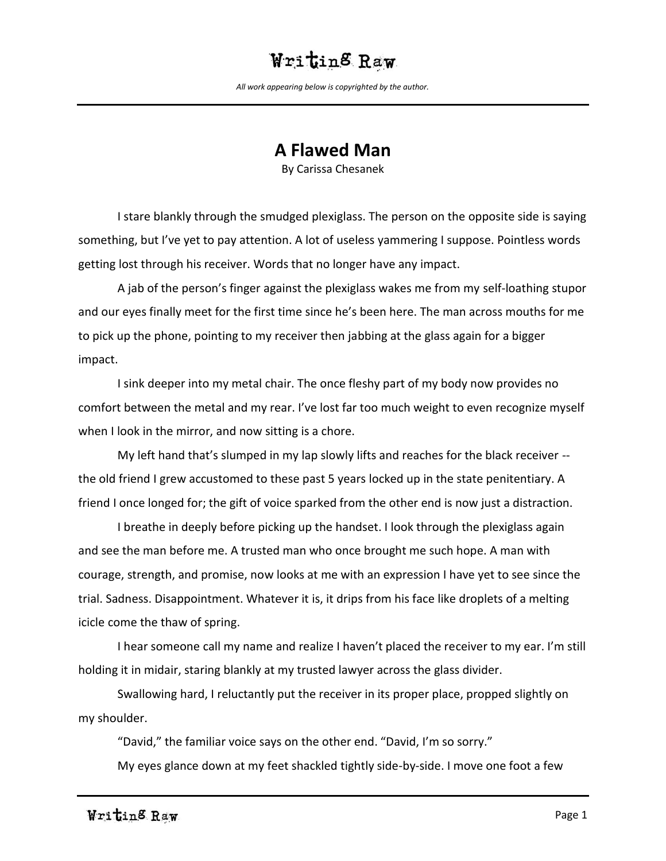*All work appearing below is copyrighted by the author.*

#### **A Flawed Man**

By Carissa Chesanek

I stare blankly through the smudged plexiglass. The person on the opposite side is saying something, but I've yet to pay attention. A lot of useless yammering I suppose. Pointless words getting lost through his receiver. Words that no longer have any impact.

A jab of the person's finger against the plexiglass wakes me from my self-loathing stupor and our eyes finally meet for the first time since he's been here. The man across mouths for me to pick up the phone, pointing to my receiver then jabbing at the glass again for a bigger impact.

I sink deeper into my metal chair. The once fleshy part of my body now provides no comfort between the metal and my rear. I've lost far too much weight to even recognize myself when I look in the mirror, and now sitting is a chore.

My left hand that's slumped in my lap slowly lifts and reaches for the black receiver - the old friend I grew accustomed to these past 5 years locked up in the state penitentiary. A friend I once longed for; the gift of voice sparked from the other end is now just a distraction.

I breathe in deeply before picking up the handset. I look through the plexiglass again and see the man before me. A trusted man who once brought me such hope. A man with courage, strength, and promise, now looks at me with an expression I have yet to see since the trial. Sadness. Disappointment. Whatever it is, it drips from his face like droplets of a melting icicle come the thaw of spring.

I hear someone call my name and realize I haven't placed the receiver to my ear. I'm still holding it in midair, staring blankly at my trusted lawyer across the glass divider.

Swallowing hard, I reluctantly put the receiver in its proper place, propped slightly on my shoulder.

"David," the familiar voice says on the other end. "David, I'm so sorry."

My eyes glance down at my feet shackled tightly side-by-side. I move one foot a few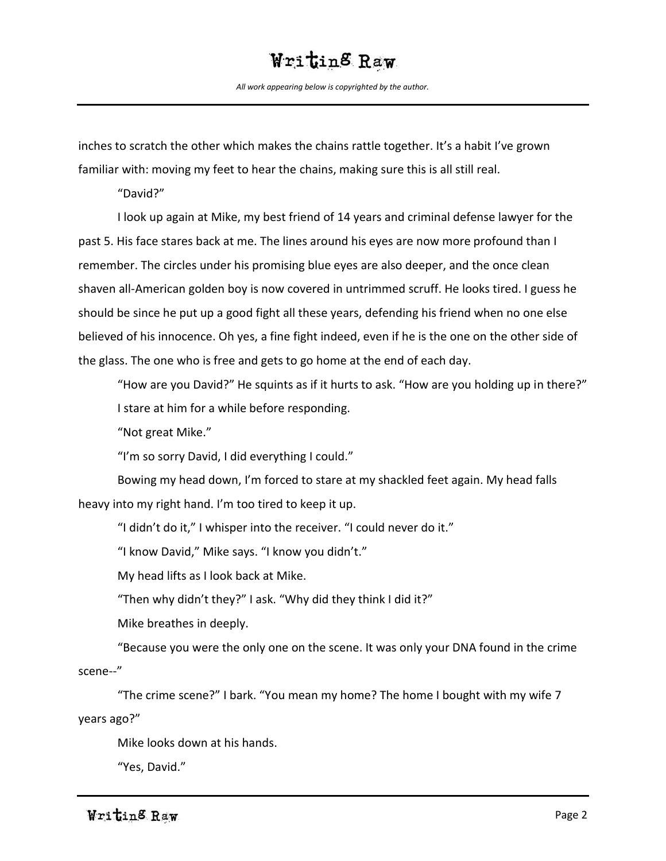*All work appearing below is copyrighted by the author.*

inches to scratch the other which makes the chains rattle together. It's a habit I've grown familiar with: moving my feet to hear the chains, making sure this is all still real.

"David?"

I look up again at Mike, my best friend of 14 years and criminal defense lawyer for the past 5. His face stares back at me. The lines around his eyes are now more profound than I remember. The circles under his promising blue eyes are also deeper, and the once clean shaven all-American golden boy is now covered in untrimmed scruff. He looks tired. I guess he should be since he put up a good fight all these years, defending his friend when no one else believed of his innocence. Oh yes, a fine fight indeed, even if he is the one on the other side of the glass. The one who is free and gets to go home at the end of each day.

"How are you David?" He squints as if it hurts to ask. "How are you holding up in there?" I stare at him for a while before responding.

"Not great Mike."

"I'm so sorry David, I did everything I could."

Bowing my head down, I'm forced to stare at my shackled feet again. My head falls heavy into my right hand. I'm too tired to keep it up.

"I didn't do it," I whisper into the receiver. "I could never do it."

"I know David," Mike says. "I know you didn't."

My head lifts as I look back at Mike.

"Then why didn't they?" I ask. "Why did they think I did it?"

Mike breathes in deeply.

"Because you were the only one on the scene. It was only your DNA found in the crime scene--"

"The crime scene?" I bark. "You mean my home? The home I bought with my wife 7 years ago?"

Mike looks down at his hands.

"Yes, David."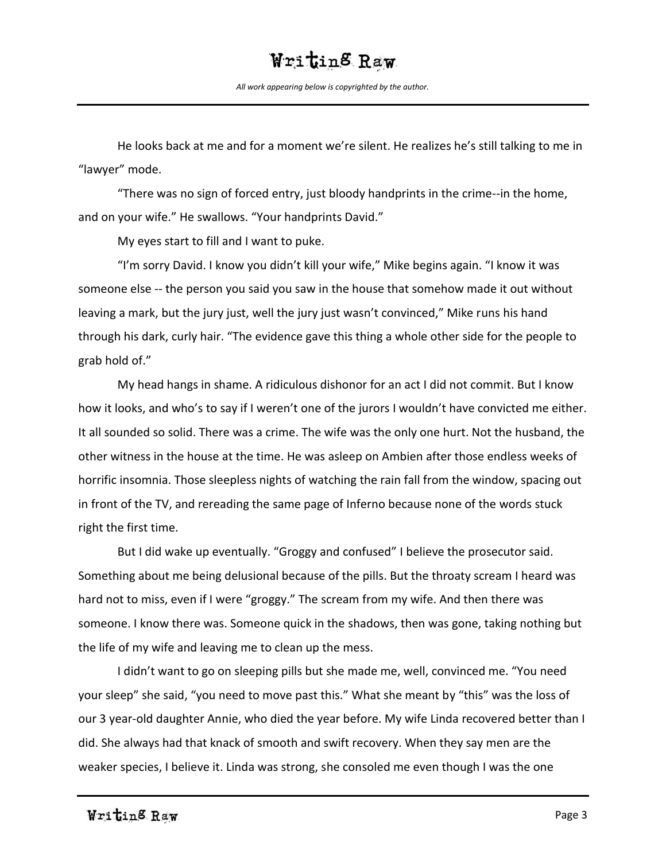*All work appearing below is copyrighted by the author.*

He looks back at me and for a moment we're silent. He realizes he's still talking to me in "lawyer" mode.

"There was no sign of forced entry, just bloody handprints in the crime--in the home, and on your wife." He swallows. "Your handprints David."

My eyes start to fill and I want to puke.

"I'm sorry David. I know you didn't kill your wife," Mike begins again. "I know it was someone else -- the person you said you saw in the house that somehow made it out without leaving a mark, but the jury just, well the jury just wasn't convinced," Mike runs his hand through his dark, curly hair. "The evidence gave this thing a whole other side for the people to grab hold of."

My head hangs in shame. A ridiculous dishonor for an act I did not commit. But I know how it looks, and who's to say if I weren't one of the jurors I wouldn't have convicted me either. It all sounded so solid. There was a crime. The wife was the only one hurt. Not the husband, the other witness in the house at the time. He was asleep on Ambien after those endless weeks of horrific insomnia. Those sleepless nights of watching the rain fall from the window, spacing out in front of the TV, and rereading the same page of Inferno because none of the words stuck right the first time.

But I did wake up eventually. "Groggy and confused" I believe the prosecutor said. Something about me being delusional because of the pills. But the throaty scream I heard was hard not to miss, even if I were "groggy." The scream from my wife. And then there was someone. I know there was. Someone quick in the shadows, then was gone, taking nothing but the life of my wife and leaving me to clean up the mess.

I didn't want to go on sleeping pills but she made me, well, convinced me. "You need your sleep" she said, "you need to move past this." What she meant by "this" was the loss of our 3 year-old daughter Annie, who died the year before. My wife Linda recovered better than I did. She always had that knack of smooth and swift recovery. When they say men are the weaker species, I believe it. Linda was strong, she consoled me even though I was the one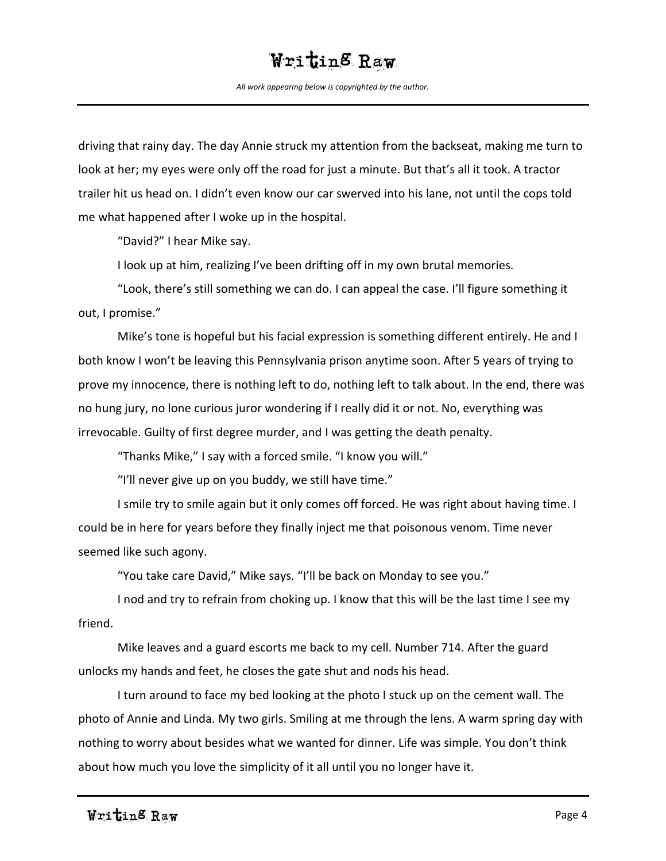*All work appearing below is copyrighted by the author.*

driving that rainy day. The day Annie struck my attention from the backseat, making me turn to look at her; my eyes were only off the road for just a minute. But that's all it took. A tractor trailer hit us head on. I didn't even know our car swerved into his lane, not until the cops told me what happened after I woke up in the hospital.

"David?" I hear Mike say.

I look up at him, realizing I've been drifting off in my own brutal memories.

"Look, there's still something we can do. I can appeal the case. I'll figure something it out, I promise."

Mike's tone is hopeful but his facial expression is something different entirely. He and I both know I won't be leaving this Pennsylvania prison anytime soon. After 5 years of trying to prove my innocence, there is nothing left to do, nothing left to talk about. In the end, there was no hung jury, no lone curious juror wondering if I really did it or not. No, everything was irrevocable. Guilty of first degree murder, and I was getting the death penalty.

"Thanks Mike," I say with a forced smile. "I know you will."

"I'll never give up on you buddy, we still have time."

I smile try to smile again but it only comes off forced. He was right about having time. I could be in here for years before they finally inject me that poisonous venom. Time never seemed like such agony.

"You take care David," Mike says. "I'll be back on Monday to see you."

I nod and try to refrain from choking up. I know that this will be the last time I see my friend.

Mike leaves and a guard escorts me back to my cell. Number 714. After the guard unlocks my hands and feet, he closes the gate shut and nods his head.

I turn around to face my bed looking at the photo I stuck up on the cement wall. The photo of Annie and Linda. My two girls. Smiling at me through the lens. A warm spring day with nothing to worry about besides what we wanted for dinner. Life was simple. You don't think about how much you love the simplicity of it all until you no longer have it.